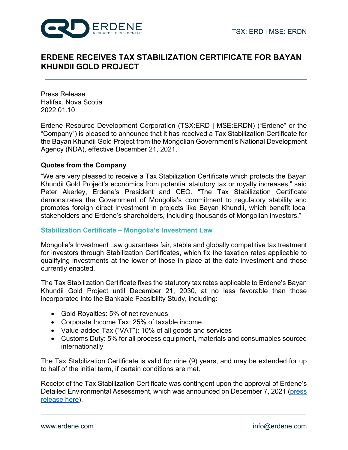

# **ERDENE RECEIVES TAX STABILIZATION CERTIFICATE FOR BAYAN KHUNDII GOLD PROJECT**

Press Release Halifax, Nova Scotia 2022.01.10

Erdene Resource Development Corporation (TSX:ERD | MSE:ERDN) ("Erdene" or the "Company") is pleased to announce that it has received a Tax Stabilization Certificate for the Bayan Khundii Gold Project from the Mongolian Government's National Development Agency (NDA), effective December 21, 2021.

### **Quotes from the Company**

"We are very pleased to receive a Tax Stabilization Certificate which protects the Bayan Khundii Gold Project's economics from potential statutory tax or royalty increases," said Peter Akerley, Erdene's President and CEO. "The Tax Stabilization Certificate demonstrates the Government of Mongolia's commitment to regulatory stability and promotes foreign direct investment in projects like Bayan Khundii, which benefit local stakeholders and Erdene's shareholders, including thousands of Mongolian investors."

### **Stabilization Certificate – Mongolia's Investment Law**

Mongolia's Investment Law guarantees fair, stable and globally competitive tax treatment for investors through Stabilization Certificates, which fix the taxation rates applicable to qualifying investments at the lower of those in place at the date investment and those currently enacted.

The Tax Stabilization Certificate fixes the statutory tax rates applicable to Erdene's Bayan Khundii Gold Project until December 21, 2030, at no less favorable than those incorporated into the Bankable Feasibility Study, including:

- Gold Royalties: 5% of net revenues
- Corporate Income Tax: 25% of taxable income
- Value-added Tax ("VAT"): 10% of all goods and services
- Customs Duty: 5% for all process equipment, materials and consumables sourced internationally

The Tax Stabilization Certificate is valid for nine (9) years, and may be extended for up to half of the initial term, if certain conditions are met.

Receipt of the Tax Stabilization Certificate was contingent upon the approval of Erdene's Detailed Environmental Assessment, which was announced on December 7, 2021 [\(press](https://www.erdene.com/site/assets/files/4319/epr.pdf)  [release here\).](https://www.erdene.com/site/assets/files/4319/epr.pdf)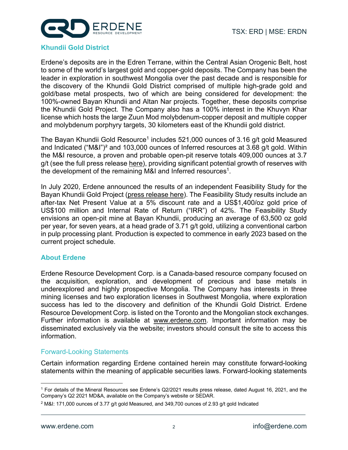

#### **Khundii Gold District**

Erdene's deposits are in the Edren Terrane, within the Central Asian Orogenic Belt, host to some of the world's largest gold and copper-gold deposits. The Company has been the leader in exploration in southwest Mongolia over the past decade and is responsible for the discovery of the Khundii Gold District comprised of multiple high-grade gold and gold/base metal prospects, two of which are being considered for development: the 100%-owned Bayan Khundii and Altan Nar projects. Together, these deposits comprise the Khundii Gold Project. The Company also has a 100% interest in the Khuvyn Khar license which hosts the large Zuun Mod molybdenum-copper deposit and multiple copper and molybdenum porphyry targets, 30 kilometers east of the Khundii gold district.

The Bayan Khundii Gold Resource<sup>1</sup> includes 521,000 ounces of 3.16 g/t gold Measured and Indicated ("M&I")² and 103,000 ounces of Inferred resources at 3.68 g/t gold. Within the M&I resource, a proven and probable open-pit reserve totals 409,000 ounces at 3.7 g/t (see the full press releas[e here\)](https://dltkyhzg7evud.cloudfront.net/assets/files/4147/erd_pr.pdf), providing significant potential growth of reserves with the development of the remaining M&I and Inferred resources<sup>1</sup>.

In July 2020, Erdene announced the results of an independent Feasibility Study for the Bayan Khundii Gold Project [\(press release here\).](https://dltkyhzg7evud.cloudfront.net/assets/files/4206/epr_en.pdf) The Feasibility Study results include an after-tax Net Present Value at a 5% discount rate and a US\$1,400/oz gold price of US\$100 million and Internal Rate of Return ("IRR") of 42%. The Feasibility Study envisions an open-pit mine at Bayan Khundii, producing an average of 63,500 oz gold per year, for seven years, at a head grade of 3.71 g/t gold, utilizing a conventional carbon in pulp processing plant. Production is expected to commence in early 2023 based on the current project schedule.

### **About Erdene**

Erdene Resource Development Corp. is a Canada-based resource company focused on the acquisition, exploration, and development of precious and base metals in underexplored and highly prospective Mongolia. The Company has interests in three mining licenses and two exploration licenses in Southwest Mongolia, where exploration success has led to the discovery and definition of the Khundii Gold District. Erdene Resource Development Corp. is listed on the Toronto and the Mongolian stock exchanges. Further information is available at www.erdene.com. Important information may be disseminated exclusively via the website; investors should consult the site to access this information.

### Forward-Looking Statements

Certain information regarding Erdene contained herein may constitute forward-looking statements within the meaning of applicable securities laws. Forward-looking statements

<sup>1</sup> For details of the Mineral Resources see Erdene's Q2/2021 results press release, dated August 16, 2021, and the Company's Q2 2021 MD&A, available on the Company's website or SEDAR.

 $2$  M&I: 171,000 ounces of 3.77 g/t gold Measured, and 349,700 ounces of 2.93 g/t gold Indicated